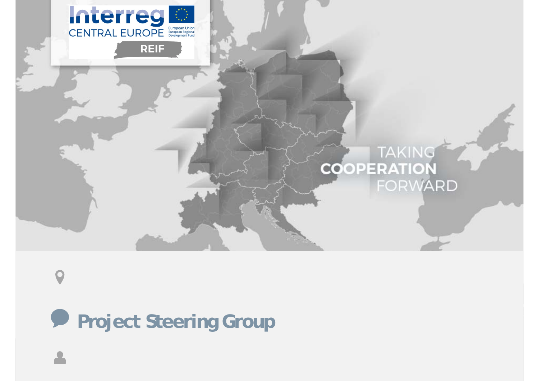

**Project Steering Group**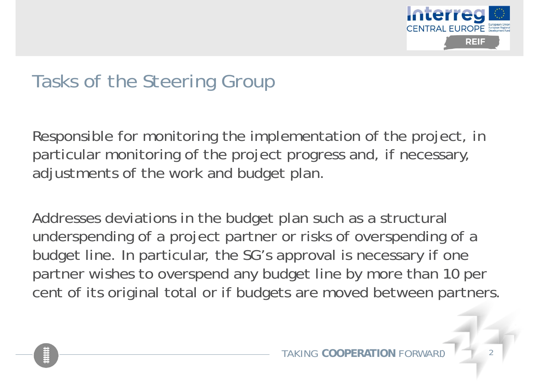

## Tasks of the Steering Group

Responsible for monitoring the implementation of the project, in particular monitoring of the project progress and, if necessary, adjustments of the work and budget plan.

Addresses deviations in the budget plan such as a structural underspending of a project partner or risks of overspending of a budget line. In particular, the SG's approval is necessary if one partner wishes to overspend any budget line by more than 10 per cent of its original total or if budgets are moved between partners.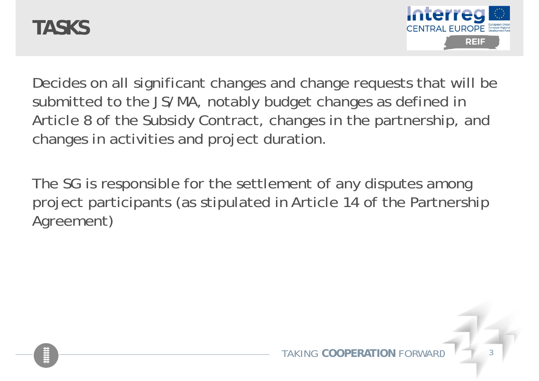## **TASKS**



Decides on all significant changes and change requests that will be submitted to the JS/MA, notably budget changes as defined in Article 8 of the Subsidy Contract, changes in the partnership, and changes in activities and project duration.

The SG is responsible for the settlement of any disputes among project participants (as stipulated in Article 14 of the Partnership Agreement)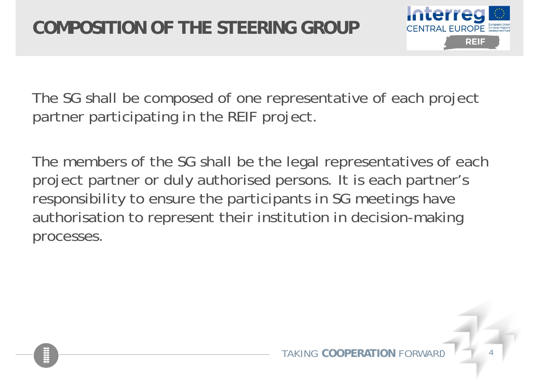

The SG shall be composed of one representative of each project partner participating in the REIF project.

The members of the SG shall be the legal representatives of each project partner or duly authorised persons. It is each partner's responsibility to ensure the participants in SG meetings have authorisation to represent their institution in decision-making processes.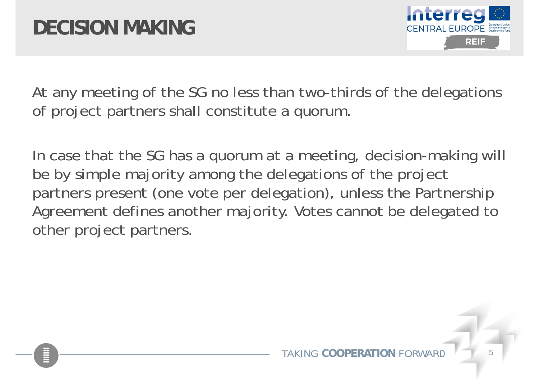

At any meeting of the SG no less than two-thirds of the delegations of project partners shall constitute a quorum.

In case that the SG has a quorum at a meeting, decision-making will be by simple majority among the delegations of the project partners present (one vote per delegation), unless the Partnership Agreement defines another majority. Votes cannot be delegated to other project partners.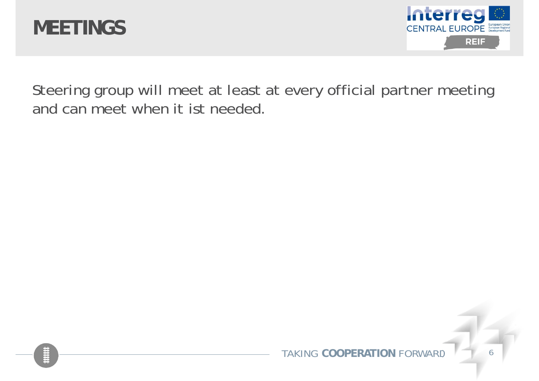



Steering group will meet at least at every official partner meeting and can meet when it ist needed.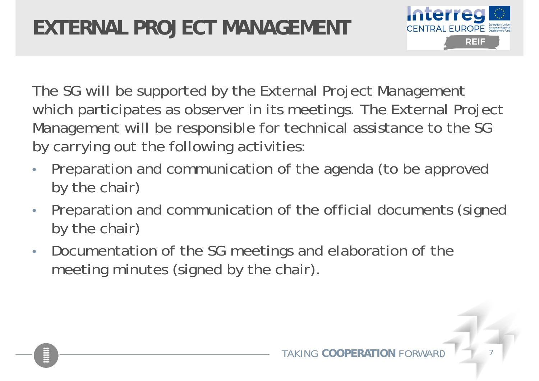

The SG will be supported by the External Project Management which participates as observer in its meetings. The External Project Management will be responsible for technical assistance to the SG by carrying out the following activities:

- $\bullet$  Preparation and communication of the agenda (to be approved by the chair)
- $\bullet$  Preparation and communication of the official documents (signed by the chair)
- $\bullet$  Documentation of the SG meetings and elaboration of the meeting minutes (signed by the chair).